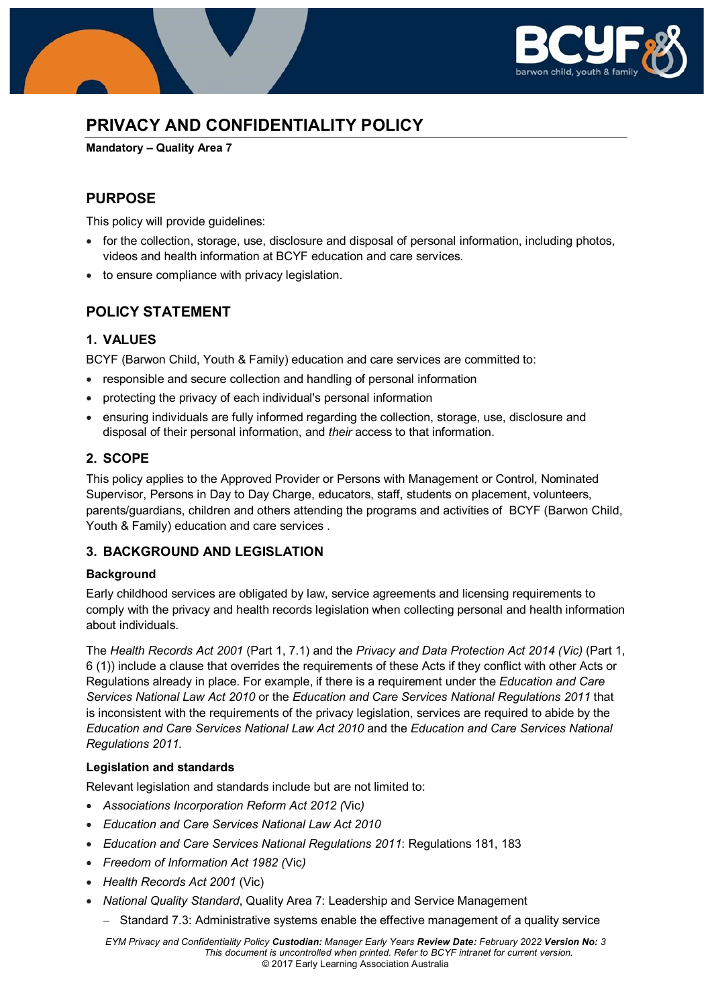

# **PRIVACY AND CONFIDENTIALITY POLICY**

**Mandatory – Quality Area 7**

### **PURPOSE**

This policy will provide guidelines:

- for the collection, storage, use, disclosure and disposal of personal information, including photos, videos and health information at BCYF education and care services.
- to ensure compliance with privacy legislation.

### **POLICY STATEMENT**

### **1. VALUES**

BCYF (Barwon Child, Youth & Family) education and care services are committed to:

- responsible and secure collection and handling of personal information
- protecting the privacy of each individual's personal information
- ensuring individuals are fully informed regarding the collection, storage, use, disclosure and disposal of their personal information, and *their* access to that information.

### **2. SCOPE**

This policy applies to the Approved Provider or Persons with Management or Control, Nominated Supervisor, Persons in Day to Day Charge, educators, staff, students on placement, volunteers, parents/guardians, children and others attending the programs and activities of BCYF (Barwon Child, Youth & Family) education and care services .

### **3. BACKGROUND AND LEGISLATION**

### **Background**

Early childhood services are obligated by law, service agreements and licensing requirements to comply with the privacy and health records legislation when collecting personal and health information about individuals.

The *Health Records Act 2001* (Part 1, 7.1) and the *Privacy and Data Protection Act 2014 (Vic)* (Part 1, 6 (1)) include a clause that overrides the requirements of these Acts if they conflict with other Acts or Regulations already in place. For example, if there is a requirement under the *Education and Care Services National Law Act 2010* or the *Education and Care Services National Regulations 2011* that is inconsistent with the requirements of the privacy legislation, services are required to abide by the *Education and Care Services National Law Act 2010* and the *Education and Care Services National Regulations 2011.*

### **Legislation and standards**

Relevant legislation and standards include but are not limited to:

- *Associations Incorporation Reform Act 2012 (*Vic*)*
- *Education and Care Services National Law Act 2010*
- *Education and Care Services National Regulations 2011*: Regulations 181, 183
- *Freedom of Information Act 1982 (*Vic*)*
- *Health Records Act 2001* (Vic)
- *National Quality Standard*, Quality Area 7: Leadership and Service Management
	- − Standard 7.3: Administrative systems enable the effective management of a quality service

*EYM Privacy and Confidentiality Policy Custodian: Manager Early Years Review Date: February 2022 Version No: 3 This document is uncontrolled when printed. Refer to BCYF intranet for current version.* © 2017 Early Learning Association Australia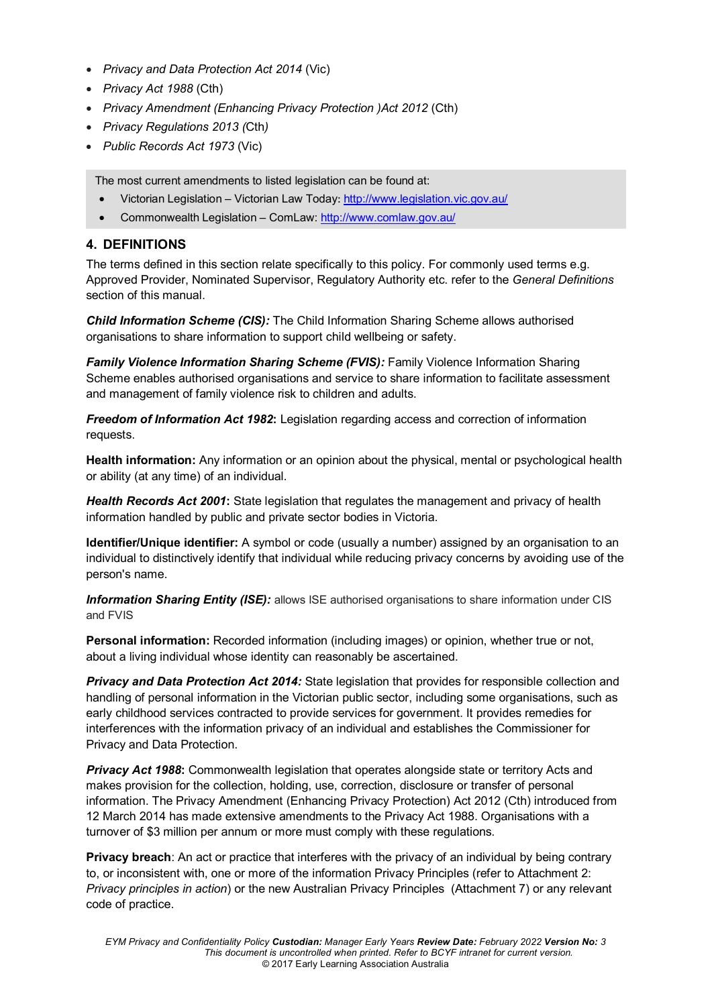- *Privacy and Data Protection Act 2014* (Vic)
- *Privacy Act 1988* (Cth)
- *Privacy Amendment (Enhancing Privacy Protection )Act 2012* (Cth)
- *Privacy Regulations 2013 (*Cth*)*
- *Public Records Act 1973* (Vic)

The most current amendments to listed legislation can be found at:

- Victorian Legislation Victorian Law Today: <http://www.legislation.vic.gov.au/>
- Commonwealth Legislation ComLaw:<http://www.comlaw.gov.au/>

### **4. DEFINITIONS**

The terms defined in this section relate specifically to this policy. For commonly used terms e.g. Approved Provider, Nominated Supervisor, Regulatory Authority etc. refer to the *General Definitions* section of this manual.

*Child Information Scheme (CIS):* The Child Information Sharing Scheme allows authorised organisations to share information to support child wellbeing or safety.

*Family Violence Information Sharing Scheme (FVIS):* Family Violence Information Sharing Scheme enables authorised organisations and service to share information to facilitate assessment and management of family violence risk to children and adults.

*Freedom of Information Act 1982***:** Legislation regarding access and correction of information requests.

**Health information:** Any information or an opinion about the physical, mental or psychological health or ability (at any time) of an individual.

*Health Records Act 2001***:** State legislation that regulates the management and privacy of health information handled by public and private sector bodies in Victoria.

**Identifier/Unique identifier:** A symbol or code (usually a number) assigned by an organisation to an individual to distinctively identify that individual while reducing privacy concerns by avoiding use of the person's name.

**Information Sharing Entity (ISE):** allows ISE authorised organisations to share information under CIS and FVIS

**Personal information:** Recorded information (including images) or opinion, whether true or not, about a living individual whose identity can reasonably be ascertained.

*Privacy and Data Protection Act 2014:* State legislation that provides for responsible collection and handling of personal information in the Victorian public sector, including some organisations, such as early childhood services contracted to provide services for government. It provides remedies for interferences with the information privacy of an individual and establishes the Commissioner for Privacy and Data Protection.

**Privacy Act 1988:** Commonwealth legislation that operates alongside state or territory Acts and makes provision for the collection, holding, use, correction, disclosure or transfer of personal information. The Privacy Amendment (Enhancing Privacy Protection) Act 2012 (Cth) introduced from 12 March 2014 has made extensive amendments to the Privacy Act 1988. Organisations with a turnover of \$3 million per annum or more must comply with these regulations.

**Privacy breach**: An act or practice that interferes with the privacy of an individual by being contrary to, or inconsistent with, one or more of the information Privacy Principles (refer to Attachment 2: *Privacy principles in action*) or the new Australian Privacy Principles (Attachment 7) or any relevant code of practice.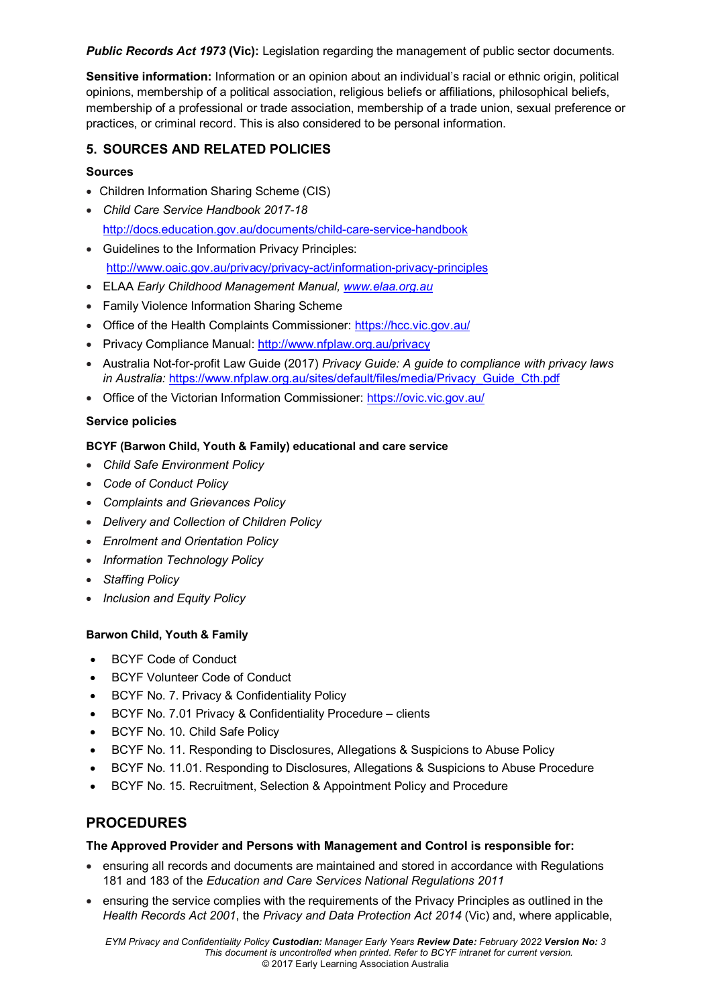*Public Records Act 1973* **(Vic):** Legislation regarding the management of public sector documents.

**Sensitive information:** Information or an opinion about an individual's racial or ethnic origin, political opinions, membership of a political association, religious beliefs or affiliations, philosophical beliefs, membership of a professional or trade association, membership of a trade union, sexual preference or practices, or criminal record. This is also considered to be personal information.

### **5. SOURCES AND RELATED POLICIES**

### **Sources**

- Children Information Sharing Scheme (CIS)
- *Child Care Service Handbook 2017-18* <http://docs.education.gov.au/documents/child-care-service-handbook>
- Guidelines to the Information Privacy Principles: <http://www.oaic.gov.au/privacy/privacy-act/information-privacy-principles>
- ELAA *Early Childhood Management Manual, [www.elaa.org.au](http://www.elaa.org.au/)*
- Family Violence Information Sharing Scheme
- Office of the Health Complaints Commissioner:<https://hcc.vic.gov.au/>
- Privacy Compliance Manual[: http://www.nfplaw.org.au/privacy](http://www.nfplaw.org.au/privacy)
- Australia Not-for-profit Law Guide (2017) *Privacy Guide: A guide to compliance with privacy laws in Australia:* [https://www.nfplaw.org.au/sites/default/files/media/Privacy\\_Guide\\_Cth.pdf](https://www.nfplaw.org.au/sites/default/files/media/Privacy_Guide_Cth.pdf)
- Office of the Victorian Information Commissioner:<https://ovic.vic.gov.au/>

### **Service policies**

### **BCYF (Barwon Child, Youth & Family) educational and care service**

- *Child Safe Environment Policy*
- *Code of Conduct Policy*
- *Complaints and Grievances Policy*
- *Delivery and Collection of Children Policy*
- *Enrolment and Orientation Policy*
- *Information Technology Policy*
- *Staffing Policy*
- *Inclusion and Equity Policy*

### **Barwon Child, Youth & Family**

- BCYF Code of Conduct
- BCYF Volunteer Code of Conduct
- BCYF No. 7. Privacy & Confidentiality Policy
- BCYF No. 7.01 Privacy & Confidentiality Procedure clients
- BCYF No. 10. Child Safe Policy
- BCYF No. 11. Responding to Disclosures, Allegations & Suspicions to Abuse Policy
- BCYF No. 11.01. Responding to Disclosures, Allegations & Suspicions to Abuse Procedure
- BCYF No. 15. Recruitment, Selection & Appointment Policy and Procedure

## **PROCEDURES**

### **The Approved Provider and Persons with Management and Control is responsible for:**

- ensuring all records and documents are maintained and stored in accordance with Regulations 181 and 183 of the *Education and Care Services National Regulations 2011*
- ensuring the service complies with the requirements of the Privacy Principles as outlined in the *Health Records Act 2001*, the *Privacy and Data Protection Act 2014* (Vic) and, where applicable,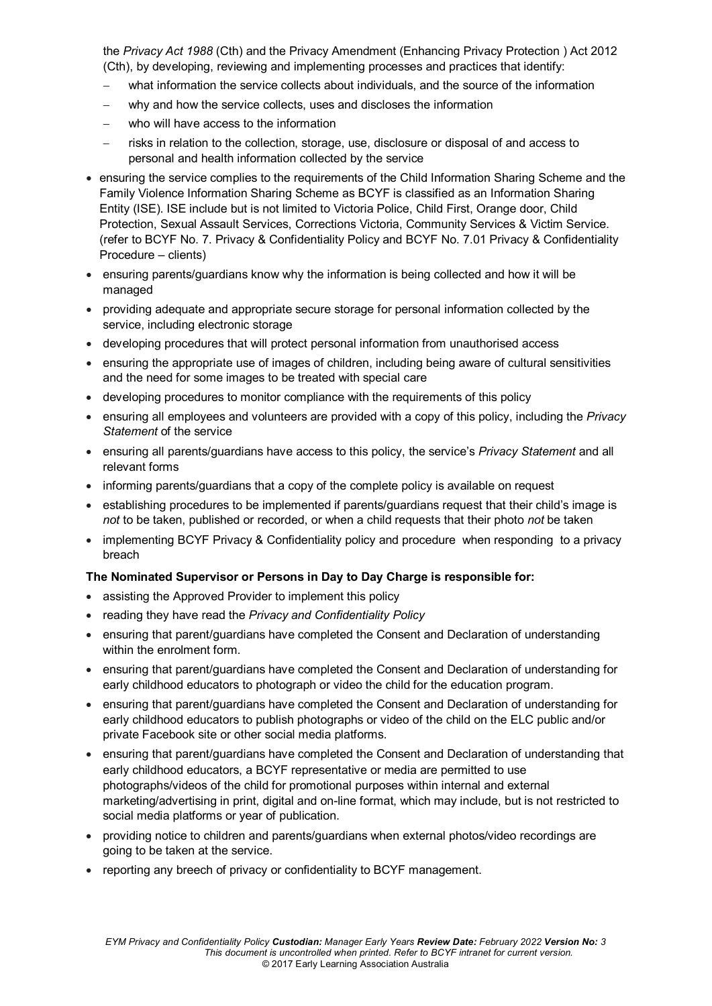the *Privacy Act 1988* (Cth) and the Privacy Amendment (Enhancing Privacy Protection ) Act 2012 (Cth), by developing, reviewing and implementing processes and practices that identify:

- what information the service collects about individuals, and the source of the information
- why and how the service collects, uses and discloses the information
- − who will have access to the information
- − risks in relation to the collection, storage, use, disclosure or disposal of and access to personal and health information collected by the service
- ensuring the service complies to the requirements of the Child Information Sharing Scheme and the Family Violence Information Sharing Scheme as BCYF is classified as an Information Sharing Entity (ISE). ISE include but is not limited to Victoria Police, Child First, Orange door, Child Protection, Sexual Assault Services, Corrections Victoria, Community Services & Victim Service. (refer to BCYF No. 7. Privacy & Confidentiality Policy and BCYF No. 7.01 Privacy & Confidentiality Procedure – clients)
- ensuring parents/guardians know why the information is being collected and how it will be managed
- providing adequate and appropriate secure storage for personal information collected by the service, including electronic storage
- developing procedures that will protect personal information from unauthorised access
- ensuring the appropriate use of images of children, including being aware of cultural sensitivities and the need for some images to be treated with special care
- developing procedures to monitor compliance with the requirements of this policy
- ensuring all employees and volunteers are provided with a copy of this policy, including the *Privacy Statement* of the service
- ensuring all parents/guardians have access to this policy, the service's *Privacy Statement* and all relevant forms
- informing parents/guardians that a copy of the complete policy is available on request
- establishing procedures to be implemented if parents/guardians request that their child's image is *not* to be taken, published or recorded, or when a child requests that their photo *not* be taken
- implementing BCYF Privacy & Confidentiality policy and procedure when responding to a privacy breach

#### **The Nominated Supervisor or Persons in Day to Day Charge is responsible for:**

- assisting the Approved Provider to implement this policy
- reading they have read the *Privacy and Confidentiality Policy*
- ensuring that parent/guardians have completed the Consent and Declaration of understanding within the enrolment form.
- ensuring that parent/guardians have completed the Consent and Declaration of understanding for early childhood educators to photograph or video the child for the education program.
- ensuring that parent/guardians have completed the Consent and Declaration of understanding for early childhood educators to publish photographs or video of the child on the ELC public and/or private Facebook site or other social media platforms.
- ensuring that parent/guardians have completed the Consent and Declaration of understanding that early childhood educators, a BCYF representative or media are permitted to use photographs/videos of the child for promotional purposes within internal and external marketing/advertising in print, digital and on-line format, which may include, but is not restricted to social media platforms or year of publication.
- providing notice to children and parents/guardians when external photos/video recordings are going to be taken at the service.
- reporting any breech of privacy or confidentiality to BCYF management.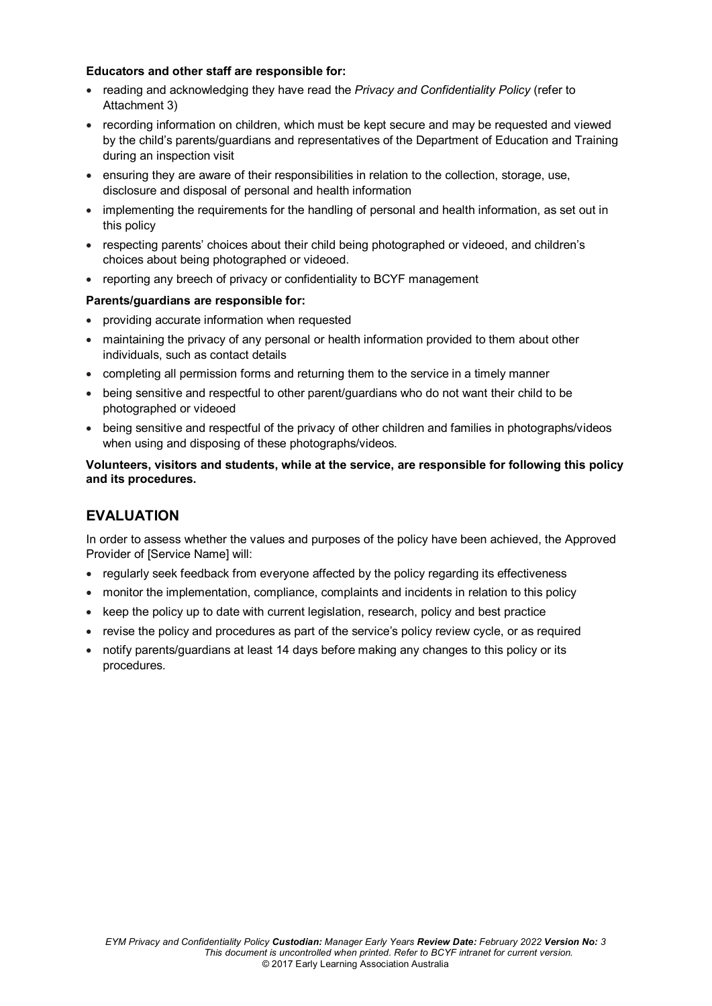#### **Educators and other staff are responsible for:**

- reading and acknowledging they have read the *Privacy and Confidentiality Policy* (refer to Attachment 3)
- recording information on children, which must be kept secure and may be requested and viewed by the child's parents/guardians and representatives of the Department of Education and Training during an inspection visit
- ensuring they are aware of their responsibilities in relation to the collection, storage, use, disclosure and disposal of personal and health information
- implementing the requirements for the handling of personal and health information, as set out in this policy
- respecting parents' choices about their child being photographed or videoed, and children's choices about being photographed or videoed.
- reporting any breech of privacy or confidentiality to BCYF management

#### **Parents/guardians are responsible for:**

- providing accurate information when requested
- maintaining the privacy of any personal or health information provided to them about other individuals, such as contact details
- completing all permission forms and returning them to the service in a timely manner
- being sensitive and respectful to other parent/guardians who do not want their child to be photographed or videoed
- being sensitive and respectful of the privacy of other children and families in photographs/videos when using and disposing of these photographs/videos.

#### **Volunteers, visitors and students, while at the service, are responsible for following this policy and its procedures.**

## **EVALUATION**

In order to assess whether the values and purposes of the policy have been achieved, the Approved Provider of [Service Name] will:

- regularly seek feedback from everyone affected by the policy regarding its effectiveness
- monitor the implementation, compliance, complaints and incidents in relation to this policy
- keep the policy up to date with current legislation, research, policy and best practice
- revise the policy and procedures as part of the service's policy review cycle, or as required
- notify parents/guardians at least 14 days before making any changes to this policy or its procedures.